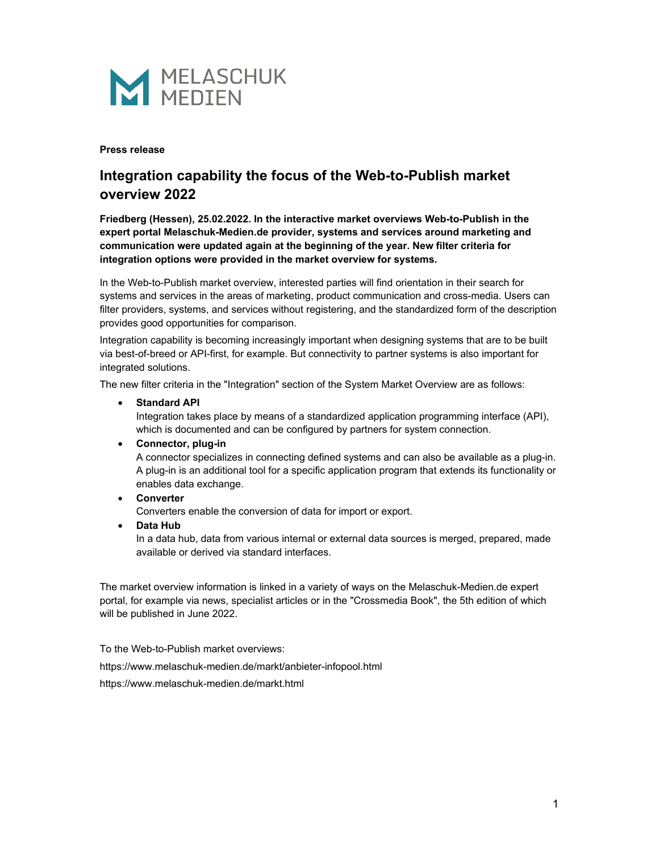

#### **Press release**

# **Integration capability the focus of the Web-to-Publish market overview 2022**

**Friedberg (Hessen), 25.02.2022. In the interactive market overviews Web-to-Publish in the expert portal Melaschuk-Medien.de provider, systems and services around marketing and communication were updated again at the beginning of the year. New filter criteria for integration options were provided in the market overview for systems.** 

In the Web-to-Publish market overview, interested parties will find orientation in their search for systems and services in the areas of marketing, product communication and cross-media. Users can filter providers, systems, and services without registering, and the standardized form of the description provides good opportunities for comparison.

Integration capability is becoming increasingly important when designing systems that are to be built via best-of-breed or API-first, for example. But connectivity to partner systems is also important for integrated solutions.

The new filter criteria in the "Integration" section of the System Market Overview are as follows:

#### • **Standard API**

Integration takes place by means of a standardized application programming interface (API), which is documented and can be configured by partners for system connection.

## • **Connector, plug-in**

A connector specializes in connecting defined systems and can also be available as a plug-in. A plug-in is an additional tool for a specific application program that extends its functionality or enables data exchange.

#### • **Converter**

Converters enable the conversion of data for import or export.

• **Data Hub**

In a data hub, data from various internal or external data sources is merged, prepared, made available or derived via standard interfaces.

The market overview information is linked in a variety of ways on the Melaschuk-Medien.de expert portal, for example via news, specialist articles or in the "Crossmedia Book", the 5th edition of which will be published in June 2022.

To the Web-to-Publish market overviews: https://www.melaschuk-medien.de/markt/anbieter-infopool.html https://www.melaschuk-medien.de/markt.html